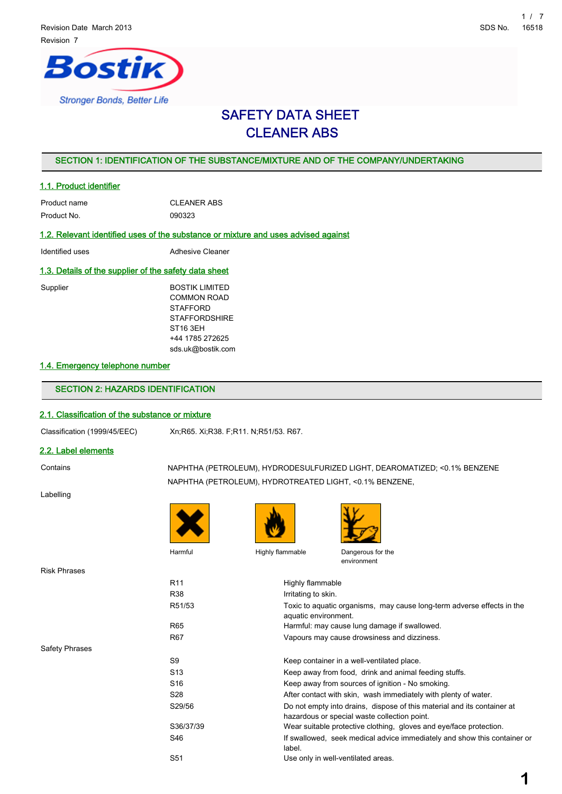

# SAFETY DATA SHEET CLEANER ABS

# SECTION 1: IDENTIFICATION OF THE SUBSTANCE/MIXTURE AND OF THE COMPANY/UNDERTAKING

### 1.1. Product identifier

| Product name | <b>CLEANER ABS</b> |
|--------------|--------------------|
| Product No.  | 090323             |

# 1.2. Relevant identified uses of the substance or mixture and uses advised against

Identified uses **Adhesive Cleaner** 

#### 1.3. Details of the supplier of the safety data sheet

Supplier BOSTIK LIMITED COMMON ROAD **STAFFORD STAFFORDSHIRE** ST16 3EH +44 1785 272625 sds.uk@bostik.com

# 1.4. Emergency telephone number

# SECTION 2: HAZARDS IDENTIFICATION

### 2.1. Classification of the substance or mixture

Classification (1999/45/EEC) Xn;R65. Xi;R38. F;R11. N;R51/53. R67.

# 2.2. Label elements

Labelling

Contains NAPHTHA (PETROLEUM), HYDRODESULFURIZED LIGHT, DEAROMATIZED; <0.1% BENZENE NAPHTHA (PETROLEUM), HYDROTREATED LIGHT, <0.1% BENZENE,





Harmful Highly flammable Dangerous for the

environment

Risk Phrases

Safety Phrases

| R <sub>11</sub> | Highly flammable                                                                                                        |
|-----------------|-------------------------------------------------------------------------------------------------------------------------|
| R38             | Irritating to skin.                                                                                                     |
| R51/53          | Toxic to aguatic organisms, may cause long-term adverse effects in the<br>aquatic environment.                          |
| R65             | Harmful: may cause lung damage if swallowed.                                                                            |
| R <sub>67</sub> | Vapours may cause drowsiness and dizziness.                                                                             |
| S9              | Keep container in a well-ventilated place.                                                                              |
| S <sub>13</sub> | Keep away from food, drink and animal feeding stuffs.                                                                   |
| S <sub>16</sub> | Keep away from sources of ignition - No smoking.                                                                        |
| S <sub>28</sub> | After contact with skin, wash immediately with plenty of water.                                                         |
| S29/56          | Do not empty into drains, dispose of this material and its container at<br>hazardous or special waste collection point. |
| S36/37/39       | Wear suitable protective clothing, gloves and eye/face protection.                                                      |
| S46             | If swallowed, seek medical advice immediately and show this container or<br>label.                                      |
| S <sub>51</sub> | Use only in well-ventilated areas.                                                                                      |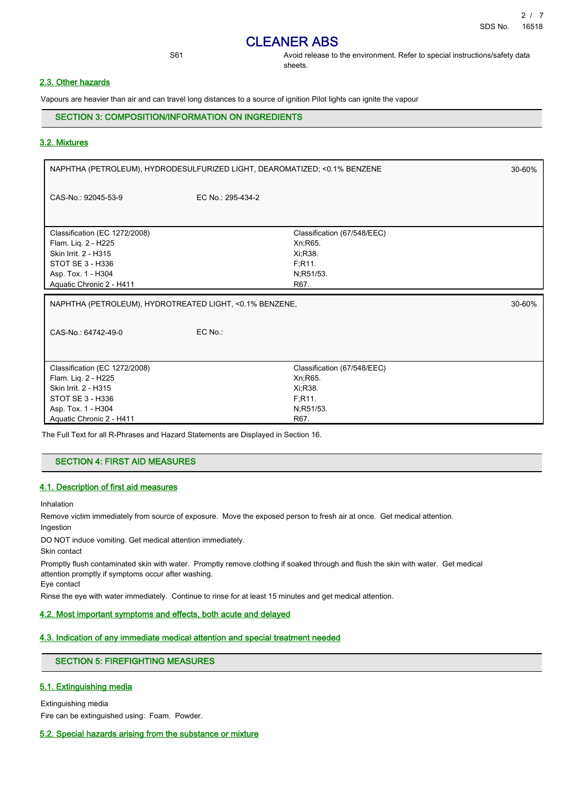S61 **Avoid release to the environment. Refer to special instructions/safety data** sheets.

# 2.3. Other hazards

Vapours are heavier than air and can travel long distances to a source of ignition Pilot lights can ignite the vapour

SECTION 3: COMPOSITION/INFORMATION ON INGREDIENTS

### 3.2. Mixtures

| NAPHTHA (PETROLEUM), HYDRODESULFURIZED LIGHT, DEAROMATIZED; <0.1% BENZENE          | 30-60%                                                  |
|------------------------------------------------------------------------------------|---------------------------------------------------------|
| EC No.: 295-434-2                                                                  |                                                         |
| Classification (67/548/EEC)<br>Xn; R65.<br>Xi, R38.<br>F;R11.<br>N;R51/53.<br>R67. |                                                         |
|                                                                                    | 30-60%                                                  |
|                                                                                    |                                                         |
| EC No.:                                                                            |                                                         |
|                                                                                    | NAPHTHA (PETROLEUM), HYDROTREATED LIGHT, <0.1% BENZENE, |

The Full Text for all R-Phrases and Hazard Statements are Displayed in Section 16.

#### SECTION 4: FIRST AID MEASURES

#### 4.1. Description of first aid measures

Inhalation

Remove victim immediately from source of exposure. Move the exposed person to fresh air at once. Get medical attention. Ingestion

DO NOT induce vomiting. Get medical attention immediately.

Skin contact

Promptly flush contaminated skin with water. Promptly remove clothing if soaked through and flush the skin with water. Get medical attention promptly if symptoms occur after washing.

Eye contact

Rinse the eye with water immediately. Continue to rinse for at least 15 minutes and get medical attention.

#### 4.2. Most important symptoms and effects, both acute and delayed

#### 4.3. Indication of any immediate medical attention and special treatment needed

# SECTION 5: FIREFIGHTING MEASURES

# 5.1. Extinguishing media

Extinguishing media

Fire can be extinguished using: Foam. Powder.

#### 5.2. Special hazards arising from the substance or mixture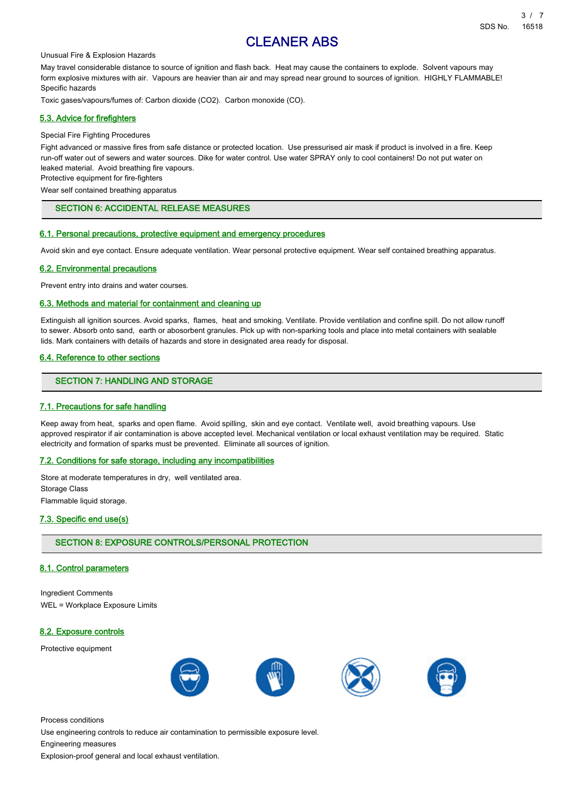#### Unusual Fire & Explosion Hazards

May travel considerable distance to source of ignition and flash back. Heat may cause the containers to explode. Solvent vapours may form explosive mixtures with air. Vapours are heavier than air and may spread near ground to sources of ignition. HIGHLY FLAMMABLE! Specific hazards

Toxic gases/vapours/fumes of: Carbon dioxide (CO2). Carbon monoxide (CO).

#### 5.3. Advice for firefighters

#### Special Fire Fighting Procedures

Fight advanced or massive fires from safe distance or protected location. Use pressurised air mask if product is involved in a fire. Keep run-off water out of sewers and water sources. Dike for water control. Use water SPRAY only to cool containers! Do not put water on leaked material. Avoid breathing fire vapours.

Protective equipment for fire-fighters

Wear self contained breathing apparatus

# SECTION 6: ACCIDENTAL RELEASE MEASURES

#### 6.1. Personal precautions, protective equipment and emergency procedures

Avoid skin and eye contact. Ensure adequate ventilation. Wear personal protective equipment. Wear self contained breathing apparatus.

#### 6.2. Environmental precautions

Prevent entry into drains and water courses.

# 6.3. Methods and material for containment and cleaning up

Extinguish all ignition sources. Avoid sparks, flames, heat and smoking. Ventilate. Provide ventilation and confine spill. Do not allow runoff to sewer. Absorb onto sand, earth or abosorbent granules. Pick up with non-sparking tools and place into metal containers with sealable lids. Mark containers with details of hazards and store in designated area ready for disposal.

#### 6.4. Reference to other sections

### SECTION 7: HANDLING AND STORAGE

#### 7.1. Precautions for safe handling

Keep away from heat, sparks and open flame. Avoid spilling, skin and eye contact. Ventilate well, avoid breathing vapours. Use approved respirator if air contamination is above accepted level. Mechanical ventilation or local exhaust ventilation may be required. Static electricity and formation of sparks must be prevented. Eliminate all sources of ignition.

#### 7.2. Conditions for safe storage, including any incompatibilities

Store at moderate temperatures in dry, well ventilated area. Storage Class Flammable liquid storage.

#### 7.3. Specific end use(s)

#### SECTION 8: EXPOSURE CONTROLS/PERSONAL PROTECTION

#### 8.1. Control parameters

Ingredient Comments WEL = Workplace Exposure Limits

#### 8.2. Exposure controls

Protective equipment



Process conditions

Use engineering controls to reduce air contamination to permissible exposure level.

Engineering measures

Explosion-proof general and local exhaust ventilation.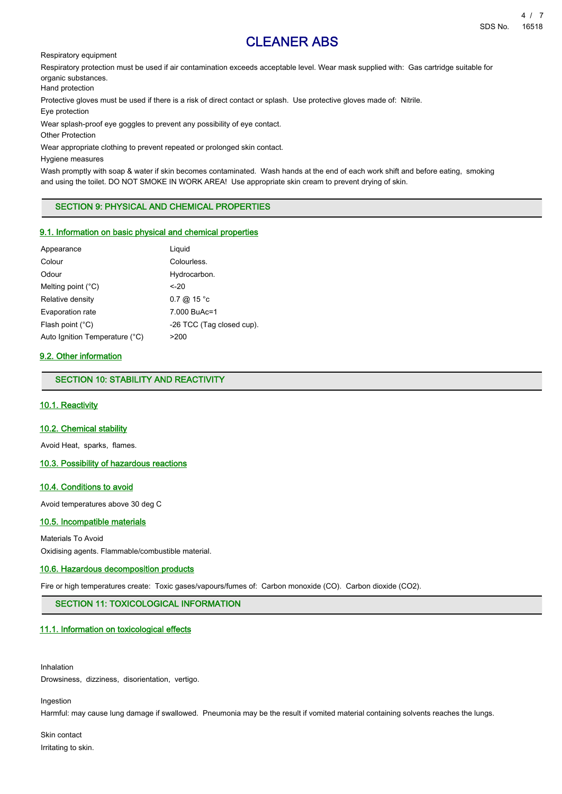Respiratory equipment

Respiratory protection must be used if air contamination exceeds acceptable level. Wear mask supplied with: Gas cartridge suitable for organic substances.

Hand protection

Protective gloves must be used if there is a risk of direct contact or splash. Use protective gloves made of: Nitrile.

Eye protection

Wear splash-proof eye goggles to prevent any possibility of eye contact.

Other Protection

Wear appropriate clothing to prevent repeated or prolonged skin contact.

Hygiene measures

Wash promptly with soap & water if skin becomes contaminated. Wash hands at the end of each work shift and before eating, smoking and using the toilet. DO NOT SMOKE IN WORK AREA! Use appropriate skin cream to prevent drying of skin.

SECTION 9: PHYSICAL AND CHEMICAL PROPERTIES

#### 9.1. Information on basic physical and chemical properties

| Appearance                     | Liguid                    |
|--------------------------------|---------------------------|
| Colour                         | Colourless.               |
| Odour                          | Hydrocarbon.              |
| Melting point $(^{\circ}C)$    | $-20$                     |
| Relative density               | $0.7 \ @ 15 °c$           |
| Evaporation rate               | 7.000 BuAc=1              |
| Flash point (°C)               | -26 TCC (Tag closed cup). |
| Auto Ignition Temperature (°C) | >200                      |

### 9.2. Other information

SECTION 10: STABILITY AND REACTIVITY

# 10.1. Reactivity

#### 10.2. Chemical stability

Avoid Heat, sparks, flames.

10.3. Possibility of hazardous reactions

#### 10.4. Conditions to avoid

Avoid temperatures above 30 deg C

# 10.5. Incompatible materials

Materials To Avoid

Oxidising agents. Flammable/combustible material.

#### 10.6. Hazardous decomposition products

Fire or high temperatures create: Toxic gases/vapours/fumes of: Carbon monoxide (CO). Carbon dioxide (CO2).

SECTION 11: TOXICOLOGICAL INFORMATION

#### 11.1. Information on toxicological effects

Inhalation Drowsiness, dizziness, disorientation, vertigo.

Ingestion

Harmful: may cause lung damage if swallowed. Pneumonia may be the result if vomited material containing solvents reaches the lungs.

Skin contact Irritating to skin.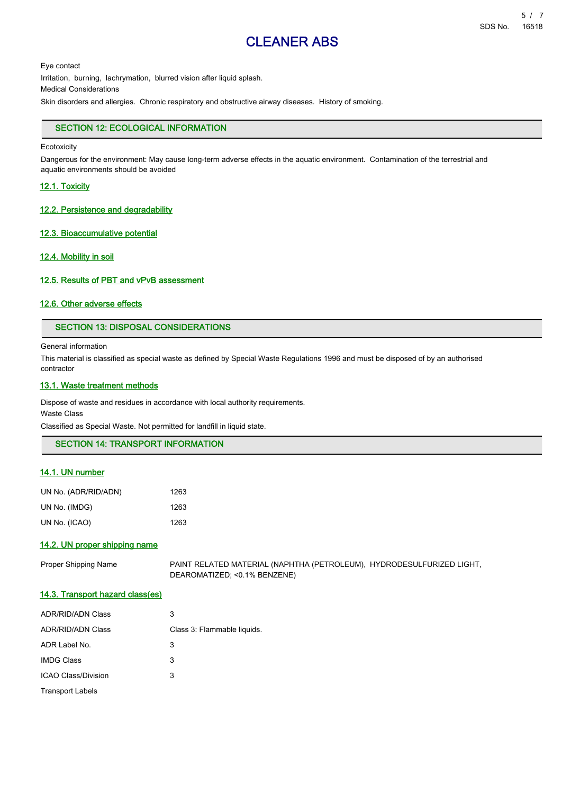Eye contact Irritation, burning, lachrymation, blurred vision after liquid splash. Medical Considerations Skin disorders and allergies. Chronic respiratory and obstructive airway diseases. History of smoking.

# SECTION 12: ECOLOGICAL INFORMATION

**Ecotoxicity** 

Dangerous for the environment: May cause long-term adverse effects in the aquatic environment. Contamination of the terrestrial and aquatic environments should be avoided

#### 12.1. Toxicity

# 12.2. Persistence and degradability

#### 12.3. Bioaccumulative potential

#### 12.4. Mobility in soil

#### 12.5. Results of PBT and vPvB assessment

## 12.6. Other adverse effects

# SECTION 13: DISPOSAL CONSIDERATIONS

General information

This material is classified as special waste as defined by Special Waste Regulations 1996 and must be disposed of by an authorised contractor

### 13.1. Waste treatment methods

Dispose of waste and residues in accordance with local authority requirements.

Waste Class

Classified as Special Waste. Not permitted for landfill in liquid state.

SECTION 14: TRANSPORT INFORMATION

# 14.1. UN number

| UN No. (ADR/RID/ADN) | 1263 |
|----------------------|------|
| UN No. (IMDG)        | 1263 |
| UN No. (ICAO)        | 1263 |

### 14.2. UN proper shipping name

Proper Shipping Name PAINT RELATED MATERIAL (NAPHTHA (PETROLEUM), HYDRODESULFURIZED LIGHT, DEAROMATIZED; <0.1% BENZENE)

# 14.3. Transport hazard class(es)

| <b>ADR/RID/ADN Class</b> | 3                           |
|--------------------------|-----------------------------|
| <b>ADR/RID/ADN Class</b> | Class 3: Flammable liquids. |
| ADR Label No.            | 3                           |
| <b>IMDG Class</b>        | 3                           |
| ICAO Class/Division      | 3                           |
| <b>Transport Labels</b>  |                             |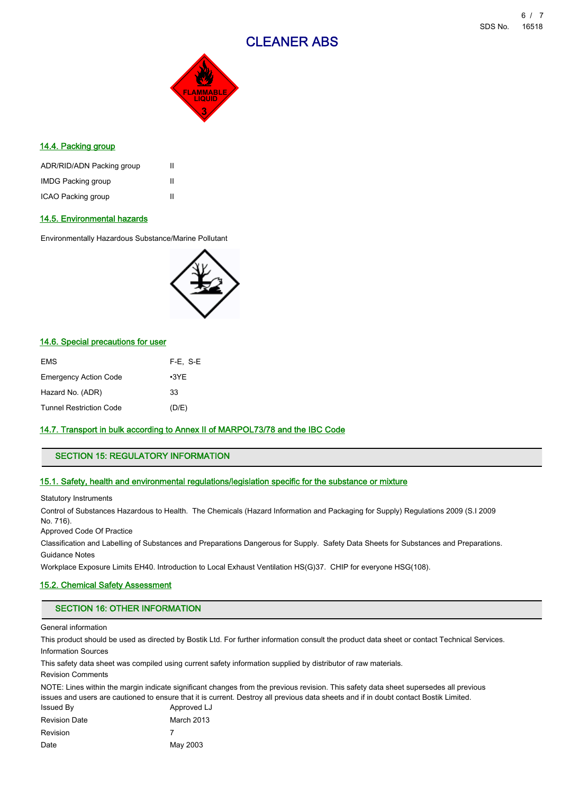

# 14.4. Packing group

| ADR/RID/ADN Packing group | Ш |
|---------------------------|---|
| <b>IMDG Packing group</b> | Ш |
| ICAO Packing group        | Ш |

# 14.5. Environmental hazards

Environmentally Hazardous Substance/Marine Pollutant



# 14.6. Special precautions for user

| EMS                          | $F-E. S-E$  |
|------------------------------|-------------|
| <b>Emergency Action Code</b> | $\cdot$ 3YE |
| Hazard No. (ADR)             | 33          |
| Tunnel Restriction Code      | (D/E)       |

# 14.7. Transport in bulk according to Annex II of MARPOL73/78 and the IBC Code

# SECTION 15: REGULATORY INFORMATION

#### 15.1. Safety, health and environmental regulations/legislation specific for the substance or mixture

Statutory Instruments

Control of Substances Hazardous to Health. The Chemicals (Hazard Information and Packaging for Supply) Regulations 2009 (S.I 2009 No. 716).

Approved Code Of Practice

Classification and Labelling of Substances and Preparations Dangerous for Supply. Safety Data Sheets for Substances and Preparations. Guidance Notes

Workplace Exposure Limits EH40. Introduction to Local Exhaust Ventilation HS(G)37. CHIP for everyone HSG(108).

# 15.2. Chemical Safety Assessment

### SECTION 16: OTHER INFORMATION

General information

This product should be used as directed by Bostik Ltd. For further information consult the product data sheet or contact Technical Services. Information Sources

This safety data sheet was compiled using current safety information supplied by distributor of raw materials.

Revision Comments

NOTE: Lines within the margin indicate significant changes from the previous revision. This safety data sheet supersedes all previous issues and users are cautioned to ensure that it is current. Destroy all previous data sheets and if in doubt contact Bostik Limited.

| Issued By            | Approved LJ |
|----------------------|-------------|
| <b>Revision Date</b> | March 2013  |
| <b>Revision</b>      |             |
| Date                 | May 2003    |